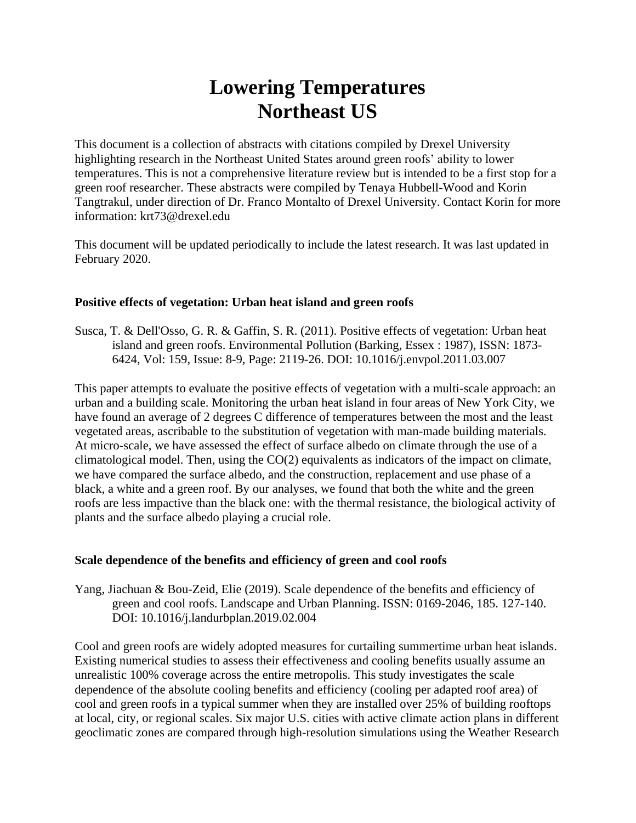# **Lowering Temperatures Northeast US**

This document is a collection of abstracts with citations compiled by Drexel University highlighting research in the Northeast United States around green roofs' ability to lower temperatures. This is not a comprehensive literature review but is intended to be a first stop for a green roof researcher. These abstracts were compiled by Tenaya Hubbell-Wood and Korin Tangtrakul, under direction of Dr. Franco Montalto of Drexel University. Contact Korin for more information: krt73@drexel.edu

This document will be updated periodically to include the latest research. It was last updated in February 2020.

# **Positive effects of vegetation: Urban heat island and green roofs**

Susca, T. & Dell'Osso, G. R. & Gaffin, S. R. (2011). Positive effects of vegetation: Urban heat island and green roofs. Environmental Pollution (Barking, Essex : 1987), ISSN: 1873- 6424, Vol: 159, Issue: 8-9, Page: 2119-26. DOI: 10.1016/j.envpol.2011.03.007

This paper attempts to evaluate the positive effects of vegetation with a multi-scale approach: an urban and a building scale. Monitoring the urban heat island in four areas of New York City, we have found an average of 2 degrees C difference of temperatures between the most and the least vegetated areas, ascribable to the substitution of vegetation with man-made building materials. At micro-scale, we have assessed the effect of surface albedo on climate through the use of a climatological model. Then, using the CO(2) equivalents as indicators of the impact on climate, we have compared the surface albedo, and the construction, replacement and use phase of a black, a white and a green roof. By our analyses, we found that both the white and the green roofs are less impactive than the black one: with the thermal resistance, the biological activity of plants and the surface albedo playing a crucial role.

# **Scale dependence of the benefits and efficiency of green and cool roofs**

Yang, Jiachuan & Bou-Zeid, Elie (2019). Scale dependence of the benefits and efficiency of green and cool roofs. Landscape and Urban Planning. ISSN: 0169-2046, 185. 127-140. DOI: 10.1016/j.landurbplan.2019.02.004

Cool and green roofs are widely adopted measures for curtailing summertime urban heat islands. Existing numerical studies to assess their effectiveness and cooling benefits usually assume an unrealistic 100% coverage across the entire metropolis. This study investigates the scale dependence of the absolute cooling benefits and efficiency (cooling per adapted roof area) of cool and green roofs in a typical summer when they are installed over 25% of building rooftops at local, city, or regional scales. Six major U.S. cities with active climate action plans in different geoclimatic zones are compared through high-resolution simulations using the Weather Research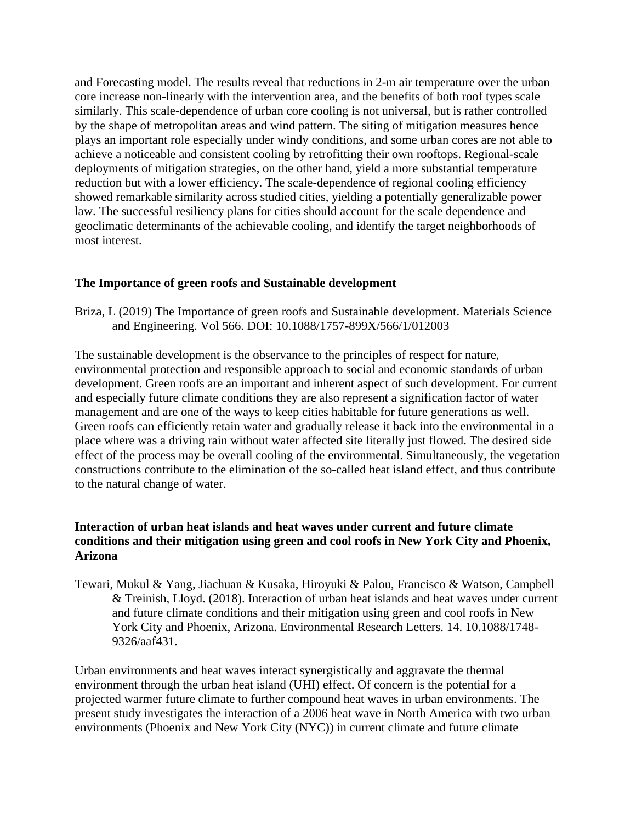and Forecasting model. The results reveal that reductions in 2-m air temperature over the urban core increase non-linearly with the intervention area, and the benefits of both roof types scale similarly. This scale-dependence of urban core cooling is not universal, but is rather controlled by the shape of metropolitan areas and wind pattern. The siting of mitigation measures hence plays an important role especially under windy conditions, and some urban cores are not able to achieve a noticeable and consistent cooling by retrofitting their own rooftops. Regional-scale deployments of mitigation strategies, on the other hand, yield a more substantial temperature reduction but with a lower efficiency. The scale-dependence of regional cooling efficiency showed remarkable similarity across studied cities, yielding a potentially generalizable power law. The successful resiliency plans for cities should account for the scale dependence and geoclimatic determinants of the achievable cooling, and identify the target neighborhoods of most interest.

# **The Importance of green roofs and Sustainable development**

Briza, L (2019) The Importance of green roofs and Sustainable development. Materials Science and Engineering. Vol 566. DOI: 10.1088/1757-899X/566/1/012003

The sustainable development is the observance to the principles of respect for nature, environmental protection and responsible approach to social and economic standards of urban development. Green roofs are an important and inherent aspect of such development. For current and especially future climate conditions they are also represent a signification factor of water management and are one of the ways to keep cities habitable for future generations as well. Green roofs can efficiently retain water and gradually release it back into the environmental in a place where was a driving rain without water affected site literally just flowed. The desired side effect of the process may be overall cooling of the environmental. Simultaneously, the vegetation constructions contribute to the elimination of the so-called heat island effect, and thus contribute to the natural change of water.

# **Interaction of urban heat islands and heat waves under current and future climate conditions and their mitigation using green and cool roofs in New York City and Phoenix, Arizona**

Tewari, Mukul & Yang, Jiachuan & Kusaka, Hiroyuki & Palou, Francisco & Watson, Campbell & Treinish, Lloyd. (2018). Interaction of urban heat islands and heat waves under current and future climate conditions and their mitigation using green and cool roofs in New York City and Phoenix, Arizona. Environmental Research Letters. 14. 10.1088/1748- 9326/aaf431.

Urban environments and heat waves interact synergistically and aggravate the thermal environment through the urban heat island (UHI) effect. Of concern is the potential for a projected warmer future climate to further compound heat waves in urban environments. The present study investigates the interaction of a 2006 heat wave in North America with two urban environments (Phoenix and New York City (NYC)) in current climate and future climate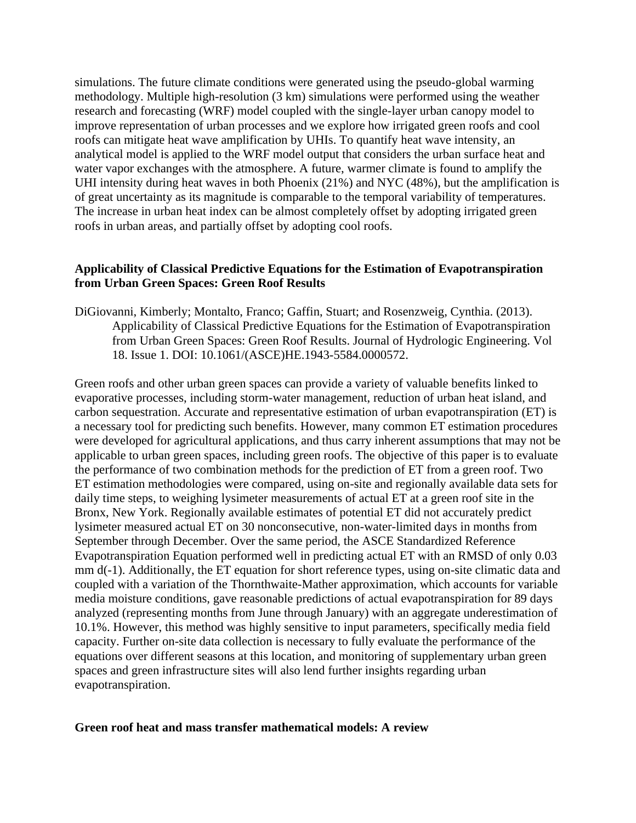simulations. The future climate conditions were generated using the pseudo-global warming methodology. Multiple high-resolution (3 km) simulations were performed using the weather research and forecasting (WRF) model coupled with the single-layer urban canopy model to improve representation of urban processes and we explore how irrigated green roofs and cool roofs can mitigate heat wave amplification by UHIs. To quantify heat wave intensity, an analytical model is applied to the WRF model output that considers the urban surface heat and water vapor exchanges with the atmosphere. A future, warmer climate is found to amplify the UHI intensity during heat waves in both Phoenix (21%) and NYC (48%), but the amplification is of great uncertainty as its magnitude is comparable to the temporal variability of temperatures. The increase in urban heat index can be almost completely offset by adopting irrigated green roofs in urban areas, and partially offset by adopting cool roofs.

# **Applicability of Classical Predictive Equations for the Estimation of Evapotranspiration from Urban Green Spaces: Green Roof Results**

DiGiovanni, Kimberly; Montalto, Franco; Gaffin, Stuart; and Rosenzweig, Cynthia. (2013). Applicability of Classical Predictive Equations for the Estimation of Evapotranspiration from Urban Green Spaces: Green Roof Results. Journal of Hydrologic Engineering. Vol 18. Issue 1. DOI: 10.1061/(ASCE)HE.1943-5584.0000572.

Green roofs and other urban green spaces can provide a variety of valuable benefits linked to evaporative processes, including storm-water management, reduction of urban heat island, and carbon sequestration. Accurate and representative estimation of urban evapotranspiration (ET) is a necessary tool for predicting such benefits. However, many common ET estimation procedures were developed for agricultural applications, and thus carry inherent assumptions that may not be applicable to urban green spaces, including green roofs. The objective of this paper is to evaluate the performance of two combination methods for the prediction of ET from a green roof. Two ET estimation methodologies were compared, using on-site and regionally available data sets for daily time steps, to weighing lysimeter measurements of actual ET at a green roof site in the Bronx, New York. Regionally available estimates of potential ET did not accurately predict lysimeter measured actual ET on 30 nonconsecutive, non-water-limited days in months from September through December. Over the same period, the ASCE Standardized Reference Evapotranspiration Equation performed well in predicting actual ET with an RMSD of only 0.03 mm d(-1). Additionally, the ET equation for short reference types, using on-site climatic data and coupled with a variation of the Thornthwaite-Mather approximation, which accounts for variable media moisture conditions, gave reasonable predictions of actual evapotranspiration for 89 days analyzed (representing months from June through January) with an aggregate underestimation of 10.1%. However, this method was highly sensitive to input parameters, specifically media field capacity. Further on-site data collection is necessary to fully evaluate the performance of the equations over different seasons at this location, and monitoring of supplementary urban green spaces and green infrastructure sites will also lend further insights regarding urban evapotranspiration.

#### **Green roof heat and mass transfer mathematical models: A review**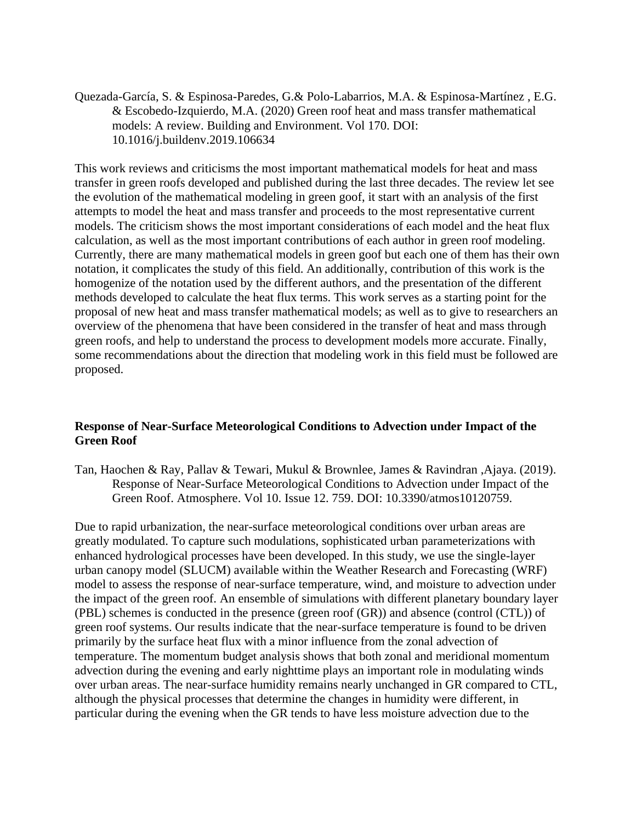Quezada-García, S. & Espinosa-Paredes, G.& Polo-Labarrios, M.A. & Espinosa-Martínez , E.G. & Escobedo-Izquierdo, M.A. (2020) Green roof heat and mass transfer mathematical models: A review. Building and Environment. Vol 170. DOI: 10.1016/j.buildenv.2019.106634

This work reviews and criticisms the most important mathematical models for heat and mass transfer in green roofs developed and published during the last three decades. The review let see the evolution of the mathematical modeling in green goof, it start with an analysis of the first attempts to model the heat and mass transfer and proceeds to the most representative current models. The criticism shows the most important considerations of each model and the heat flux calculation, as well as the most important contributions of each author in green roof modeling. Currently, there are many mathematical models in green goof but each one of them has their own notation, it complicates the study of this field. An additionally, contribution of this work is the homogenize of the notation used by the different authors, and the presentation of the different methods developed to calculate the heat flux terms. This work serves as a starting point for the proposal of new heat and mass transfer mathematical models; as well as to give to researchers an overview of the phenomena that have been considered in the transfer of heat and mass through green roofs, and help to understand the process to development models more accurate. Finally, some recommendations about the direction that modeling work in this field must be followed are proposed.

# **Response of Near-Surface Meteorological Conditions to Advection under Impact of the Green Roof**

Tan, Haochen & Ray, Pallav & Tewari, Mukul & Brownlee, James & Ravindran ,Ajaya. (2019). Response of Near-Surface Meteorological Conditions to Advection under Impact of the Green Roof. Atmosphere. Vol 10. Issue 12. 759. DOI: 10.3390/atmos10120759.

Due to rapid urbanization, the near-surface meteorological conditions over urban areas are greatly modulated. To capture such modulations, sophisticated urban parameterizations with enhanced hydrological processes have been developed. In this study, we use the single-layer urban canopy model (SLUCM) available within the Weather Research and Forecasting (WRF) model to assess the response of near-surface temperature, wind, and moisture to advection under the impact of the green roof. An ensemble of simulations with different planetary boundary layer (PBL) schemes is conducted in the presence (green roof (GR)) and absence (control (CTL)) of green roof systems. Our results indicate that the near-surface temperature is found to be driven primarily by the surface heat flux with a minor influence from the zonal advection of temperature. The momentum budget analysis shows that both zonal and meridional momentum advection during the evening and early nighttime plays an important role in modulating winds over urban areas. The near-surface humidity remains nearly unchanged in GR compared to CTL, although the physical processes that determine the changes in humidity were different, in particular during the evening when the GR tends to have less moisture advection due to the